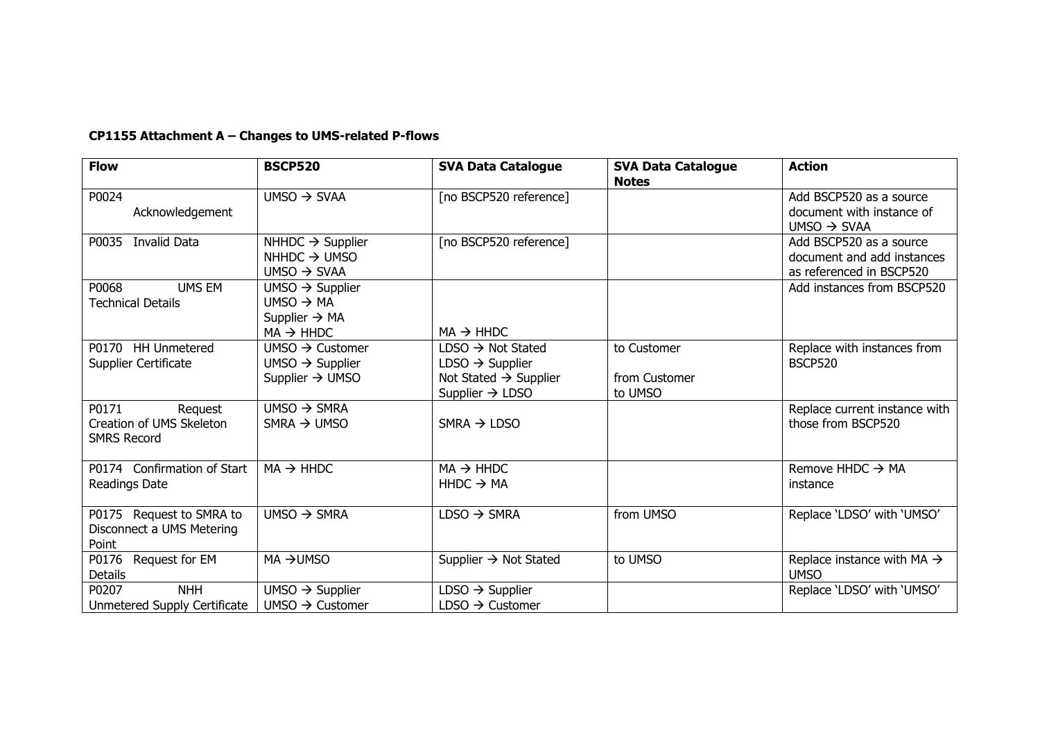## **CP1155 Attachment A – Changes to UMS-related P-flows**

| <b>Flow</b>                                                        | <b>BSCP520</b>                                                                                             | <b>SVA Data Catalogue</b>                                                                                                             | <b>SVA Data Catalogue</b><br><b>Notes</b> | <b>Action</b>                                                                     |
|--------------------------------------------------------------------|------------------------------------------------------------------------------------------------------------|---------------------------------------------------------------------------------------------------------------------------------------|-------------------------------------------|-----------------------------------------------------------------------------------|
| P0024<br>Acknowledgement                                           | UMSO $\rightarrow$ SVAA                                                                                    | [no BSCP520 reference]                                                                                                                |                                           | Add BSCP520 as a source<br>document with instance of<br>$UMSO \rightarrow SVAA$   |
| <b>Invalid Data</b><br>P0035                                       | NHHDC $\rightarrow$ Supplier<br>$NHHDC \rightarrow UMSO$<br>UMSO $\rightarrow$ SVAA                        | [no BSCP520 reference]                                                                                                                |                                           | Add BSCP520 as a source<br>document and add instances<br>as referenced in BSCP520 |
| <b>UMS EM</b><br>P0068<br><b>Technical Details</b>                 | $UMSO \rightarrow Supplier$<br>UMSO $\rightarrow$ MA<br>Supplier $\rightarrow$ MA<br>$MA \rightarrow HHDC$ | $MA \rightarrow HHDC$                                                                                                                 |                                           | Add instances from BSCP520                                                        |
| P0170 HH Unmetered<br>Supplier Certificate                         | UMSO $\rightarrow$ Customer<br>$UMSO \rightarrow Supplier$<br>Supplier $\rightarrow$ UMSO                  | $LDSO \rightarrow Not Stated$<br>$LDSO \rightarrow Supplementary$<br>Not Stated $\rightarrow$ Supplier<br>Supplier $\rightarrow$ LDSO | to Customer<br>from Customer<br>to UMSO   | Replace with instances from<br><b>BSCP520</b>                                     |
| P0171<br>Request<br>Creation of UMS Skeleton<br><b>SMRS Record</b> | UMSO $\rightarrow$ SMRA<br>$SMRA \rightarrow UMSO$                                                         | SMRA $\rightarrow$ LDSO                                                                                                               |                                           | Replace current instance with<br>those from BSCP520                               |
| P0174 Confirmation of Start<br>Readings Date                       | $MA \rightarrow HHDC$                                                                                      | $MA \rightarrow HHDC$<br>$HHDC \rightarrow MA$                                                                                        |                                           | Remove HHDC $\rightarrow$ MA<br>instance                                          |
| P0175 Request to SMRA to<br>Disconnect a UMS Metering<br>Point     | UMSO $\rightarrow$ SMRA                                                                                    | $LDSO \rightarrow SMRA$                                                                                                               | from UMSO                                 | Replace 'LDSO' with 'UMSO'                                                        |
| P0176<br>Request for EM<br><b>Details</b>                          | MA →UMSO                                                                                                   | Supplier $\rightarrow$ Not Stated                                                                                                     | to UMSO                                   | Replace instance with MA $\rightarrow$<br><b>UMSO</b>                             |
| <b>NHH</b><br>P0207<br>Unmetered Supply Certificate                | $UMSO \rightarrow Supplier$<br>UMSO $\rightarrow$ Customer                                                 | $LDSO \rightarrow$ Supplier<br>$LDSO \rightarrow$ Customer                                                                            |                                           | Replace 'LDSO' with 'UMSO'                                                        |